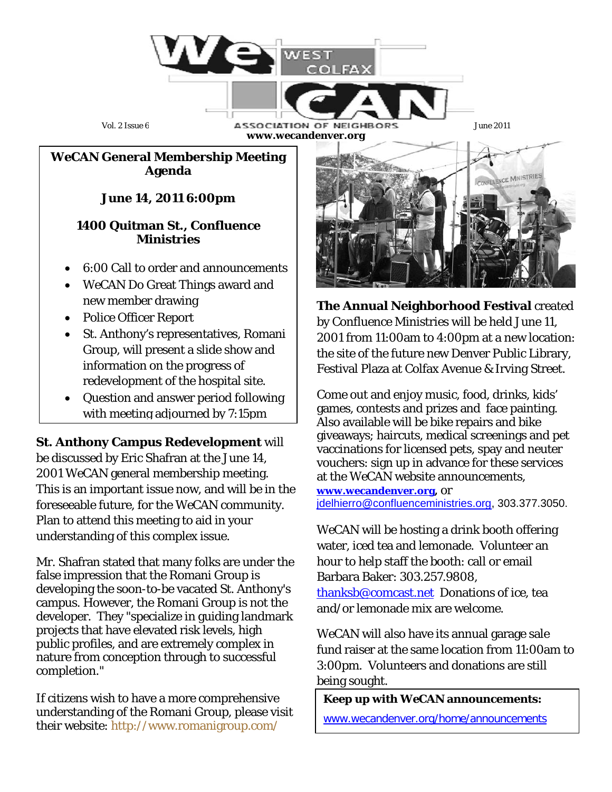

**www.wecandenver.org**

### *WeCAN* **General Membership Meeting Agenda**

# **June 14, 2011 6:00pm**

## **1400 Quitman St., Confluence Ministries**

- 6:00 Call to order and announcements
- *WeCAN* Do Great Things award and new member drawing
- Police Officer Report
- St. Anthony's representatives, Romani Group, will present a slide show and information on the progress of redevelopment of the hospital site.
- Question and answer period following with meeting adjourned by 7:15pm

**St. Anthony Campus Redevelopment** will be discussed by Eric Shafran at the June 14, 2001 *WeCAN* general membership meeting. This is an important issue now, and will be in the foreseeable future, for the *WeCAN* community. Plan to attend this meeting to aid in your understanding of this complex issue.

Mr. Shafran stated that many folks are under the false impression that the Romani Group is developing the soon-to-be vacated St. Anthony's campus. However, the Romani Group is not the developer. They "specialize in guiding landmark projects that have elevated risk levels, high public profiles, and are extremely complex in nature from conception through to successful completion."

If citizens wish to have a more comprehensive understanding of the Romani Group, please visit their website:<http://www.romanigroup.com/>



**The Annual Neighborhood Festival** created by Confluence Ministries will be held June 11, 2001 from 11:00am to 4:00pm at a new location: the site of the future new Denver Public Library, Festival Plaza at Colfax Avenue & Irving Street.

Come out and enjoy music, food, drinks, kids' games, contests and prizes and face painting. Also available will be bike repairs and bike giveaways; haircuts, medical screenings and pet vaccinations for licensed pets, spay and neuter vouchers: sign up in advance for these services at the *WeCAN* website announcements, **[www.wecandenver.org,](http://www.wecandenver.org/)** or [jdelhierro@confluenceministries.org,](mailto:jdelhierro@confluenceministries.org) 303.377.3050.

*WeCAN* will be hosting a drink booth offering water, iced tea and lemonade. Volunteer an hour to help staff the booth: call or email Barbara Baker: 303.257.9808, [thanksb@comcast.net](mailto:thanksb@comcast.net) Donations of ice, tea and/or lemonade mix are welcome.

WeCAN will also have its annual garage sale fund raiser at the same location from 11:00am to 3:00pm. Volunteers and donations are still being sought.

## **Keep up with** *WeCAN* **announcements:**

[www.wecandenver.org/home/announcements](http://www.wecandenver.org/home/announcements)